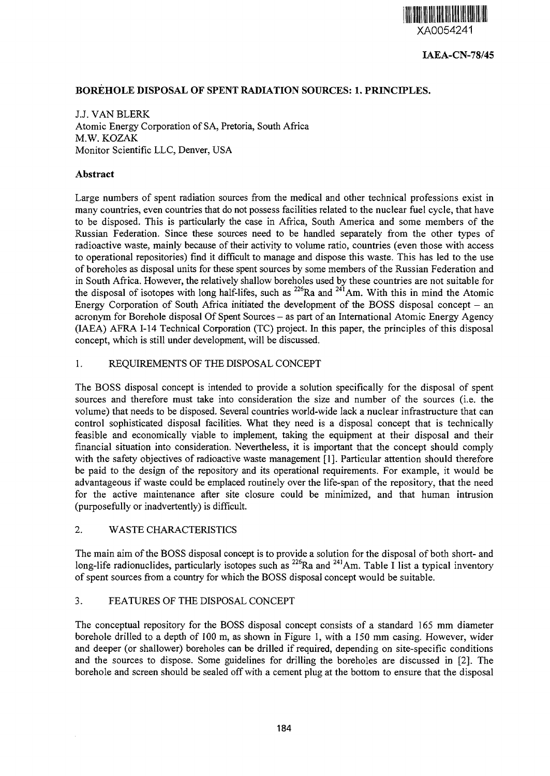

## **BOREHOLE DISPOSAL OF SPENT RADIATION SOURCES: 1. PRINCIPLES.**

J.J. VAN BLERK Atomic Energy Corporation of SA, Pretoria, South Africa M.W. KOZAK Monitor Scientific LLC, Denver, USA

#### **Abstract**

Large numbers of spent radiation sources from the medical and other technical professions exist in many countries, even countries that do not possess facilities related to the nuclear fuel cycle, that have to be disposed. This is particularly the case in Africa, South America and some members of the Russian Federation. Since these sources need to be handled separately from the other types of radioactive waste, mainly because of their activity to volume ratio, countries (even those with access to operational repositories) find it difficult to manage and dispose this waste. This has led to the use of boreholes as disposal units for these spent sources by some members of the Russian Federation and in South Africa. However, the relatively shallow boreholes used by these countries are not suitable for the disposal of isotopes with long half-lifes, such as  $^{226}$ Ra and  $^{241}$ Am. With this in mind the Atomic Energy Corporation of South Africa initiated the development of the BOSS disposal concept  $-$  an acronym for Borehole disposal Of Spent Sources - as part of an International Atomic Energy Agency (IAEA) AFRA 1-14 Technical Corporation (TC) project. In this paper, the principles of this disposal concept, which is still under development, will be discussed.

#### 1. REQUIREMENTS OF THE DISPOSAL CONCEPT

The BOSS disposal concept is intended to provide a solution specifically for the disposal of spent sources and therefore must take into consideration the size and number of the sources (i.e. the volume) that needs to be disposed. Several countries world-wide lack a nuclear infrastructure that can control sophisticated disposal facilities. What they need is a disposal concept that is technically feasible and economically viable to implement, taking the equipment at their disposal and their financial situation into consideration. Nevertheless, it is important that the concept should comply with the safety objectives of radioactive waste management [1]. Particular attention should therefore be paid to the design of the repository and its operational requirements. For example, it would be advantageous if waste could be emplaced routinely over the life-span of the repository, that the need for the active maintenance after site closure could be minimized, and that human intrusion (purposefully or inadvertently) is difficult.

## 2. WASTE CHARACTERISTICS

The main aim of the BOSS disposal concept is to provide a solution for the disposal of both short- and long-life radionuclides, particularly isotopes such as <sup>226</sup>Ra and <sup>241</sup>Am. Table I list a typical inventory of spent sources from a country for which the BOSS disposal concept would be suitable.

#### 3. FEATURES OF THE DISPOSAL CONCEPT

The conceptual repository for the BOSS disposal concept consists of a standard 165 mm diameter borehole drilled to a depth of 100 m, as shown in Figure 1, with a 150 mm casing. However, wider and deeper (or shallower) boreholes can be drilled if required, depending on site-specific conditions and the sources to dispose. Some guidelines for drilling the boreholes are discussed in [2]. The borehole and screen should be sealed off with a cement plug at the bottom to ensure that the disposal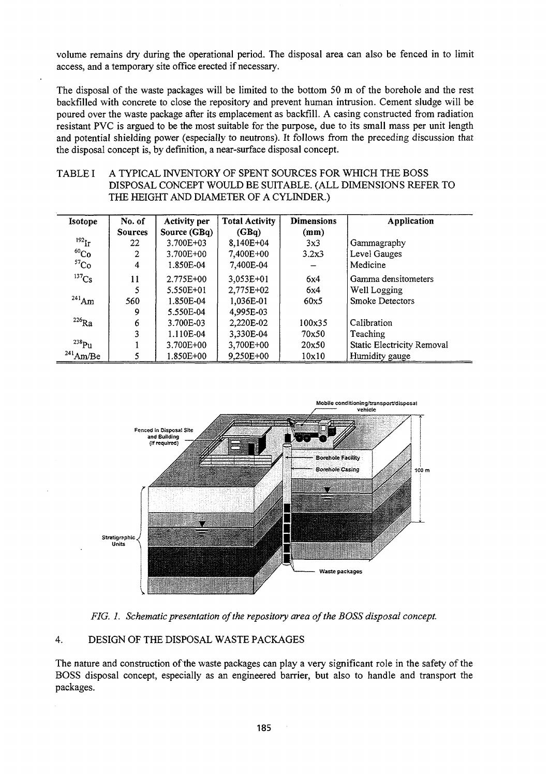volume remains dry during the operational period. The disposal area can also be fenced in to limit access, and a temporary site office erected if necessary.

The disposal of the waste packages will be limited to the bottom 50 m of the borehole and the rest backfilled with concrete to close the repository and prevent human intrusion. Cement sludge will be poured over the waste package after its emplacement as backfill. A casing constructed from radiation resistant PVC is argued to be the most suitable for the purpose, due to its small mass per unit length and potential shielding power (especially to neutrons). It follows from the preceding discussion that the disposal concept is, by definition, a near-surface disposal concept.

# TABLE I A TYPICAL INVENTORY OF SPENT SOURCES FOR WHICH THE BOSS DISPOSAL CONCEPT WOULD BE SUITABLE. (ALL DIMENSIONS REFER TO THE HEIGHT AND DIAMETER OF A CYLINDER.)

| Isotope           | No. of         | <b>Activity per</b> | <b>Total Activity</b> | <b>Dimensions</b> | Application                |
|-------------------|----------------|---------------------|-----------------------|-------------------|----------------------------|
|                   | <b>Sources</b> | Source (GBq)        | (GBq)                 | (mm)              |                            |
| 192 <sub>Ir</sub> | 22.            | $3.700E + 03$       | $8.140E + 04$         | 3x3               | Gammagraphy                |
| $^{60}Co$         | 2              | 3.700E+00           | 7,400E+00             | 3.2x3             | Level Gauges               |
| 57 <sub>Co</sub>  | 4              | 1.850E-04           | 7,400E-04             |                   | Medicine                   |
| $137$ Cs          | 11             | 2.775E+00           | 3,053E+01             | 6x4               | Gamma densitometers        |
|                   | 5              | 5.550E+01           | 2,775E+02             | 6x4               | Well Logging               |
| $^{241}$ Am       | 560            | 1.850E-04           | 1,036E-01             | 60x5              | <b>Smoke Detectors</b>     |
|                   | 9              | 5.550E-04           | 4,995E-03             |                   |                            |
| $^{226}$ Ra       | 6              | 3.700E-03           | 2,220E-02             | 100x35            | Calibration                |
|                   | 3              | 1.110E-04           | 3,330E-04             | 70x50             | Teaching                   |
| $^{238}$ Pu       |                | 3.700E+00           | 3,700E+00             | 20x50             | Static Electricity Removal |
| $^{241}$ Am/Be    |                | 1.850E+00           | 9,250E+00             | 10x10             | Humidity gauge             |



*FIG. 1. Schematic presentation of the repository area of the BOSS disposal concept.*

#### 4. DESIGN OF THE DISPOSAL WASTE PACKAGES

The nature and construction of the waste packages can play a very significant role in the safety of the BOSS disposal concept, especially as an engineered barrier, but also to handle and transport the packages.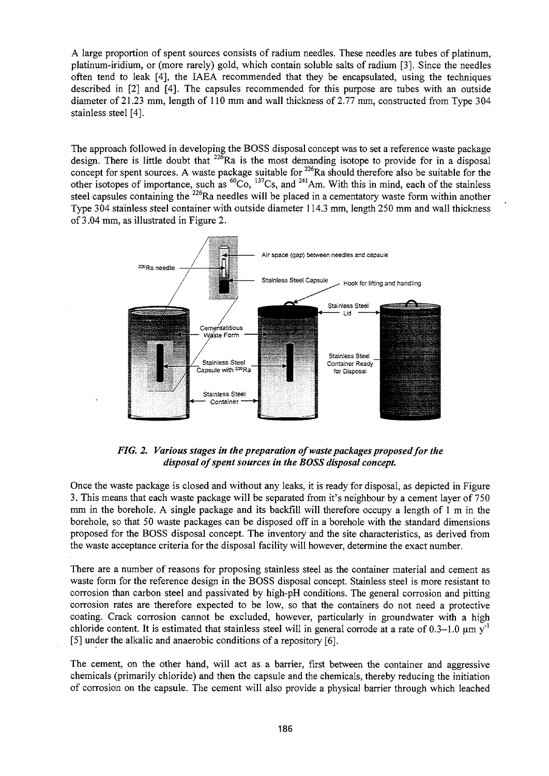A large proportion of spent sources consists of radium needles. These needles are tubes of platinum, platinum-iridium, or (more rarely) gold, which contain soluble salts of radium [3]. Since the needles often tend to leak [4], the IAEA recommended that they be encapsulated, using the techniques described in [2] and [4]. The capsules recommended for this purpose are tubes with an outside diameter of 21.23 mm, length of 110 mm and wall thickness of 2.77 mm, constructed from Type 304 stainless steel [4].

The approach followed in developing the BOSS disposal concept was to set a reference waste package design. There is little doubt that <sup>226</sup>Ra is the most demanding isotope to provide for in a disposal concept for spent sources. A waste package suitable for <sup>226</sup>Ra should therefore also be suitable for the other isotopes of importance, such as <sup>60</sup>Co, <sup>137</sup>Cs, and <sup>241</sup>Am. With this in mind, each of the stainless steel capsules containing the <sup>226</sup>Ra needles will be placed in a cementatory waste form within another Type 304 stainless steel container with outside diameter 114.3 mm, length 250 mm and wall thickness of 3.04 mm, as illustrated in Figure 2.



*FIG. 2. Various stages in the preparation of waste packages proposed for the disposal of spent sources in the BOSS disposal concept.*

Once the waste package is closed and without any leaks, it is ready for disposal, as depicted in Figure 3. This means that each waste package will be separated from it's neighbour by a cement layer of 750 mm in the borehole. A single package and its backfill will therefore occupy a length of 1 m in the borehole, so that 50 waste packages can be disposed off in a borehole with the standard dimensions proposed for the BOSS disposal concept. The inventory and the site characteristics, as derived from the waste acceptance criteria for the disposal facility will however, determine the exact number.

There are a number of reasons for proposing stainless steel as the container material and cement as waste form for the reference design in the BOSS disposal concept. Stainless steel is more resistant to corrosion than carbon steel and passivated by high-pH conditions. The general corrosion and pitting corrosion rates are therefore expected to be low, so that the containers do not need a protective coating. Crack corrosion cannot be excluded, however, particularly in groundwater with a high chloride content. It is estimated that stainless steel will in general corrode at a rate of  $0.3-1.0 \text{ µm y}^{-1}$ [5] under the alkalic and anaerobic conditions of a repository [6].

The cement, on the other hand, will act as a barrier, first between the container and aggressive chemicals (primarily chloride) and then the capsule and the chemicals, thereby reducing the initiation of corrosion on the capsule. The cement will also provide a physical barrier through which leached